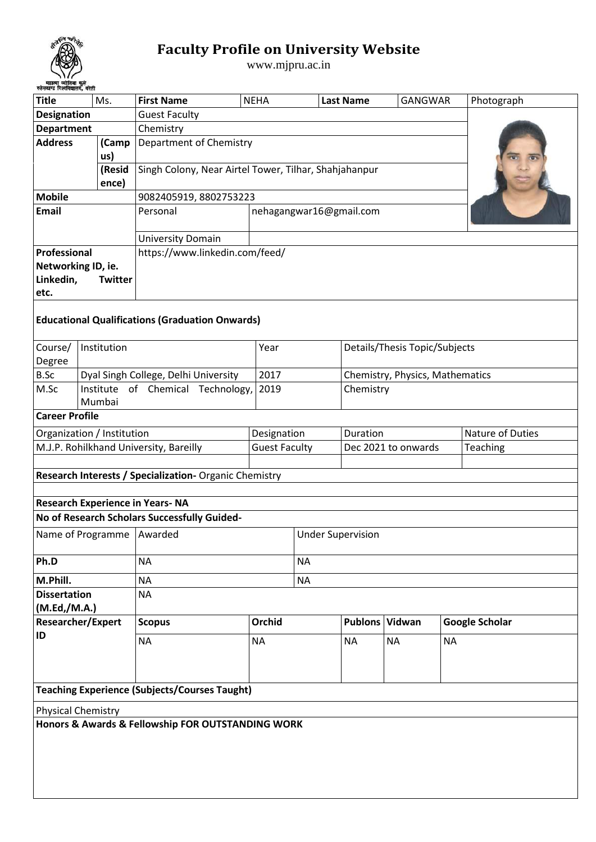

## **Faculty Profile on University Website**

www.mjpru.ac.in

| <b>Title</b><br>Ms.                                |  |                 | <b>First Name</b>                                      | <b>NEHA</b>          |                          | <b>GANGWAR</b><br><b>Last Name</b> |                                 |                  | Photograph            |  |  |  |  |  |
|----------------------------------------------------|--|-----------------|--------------------------------------------------------|----------------------|--------------------------|------------------------------------|---------------------------------|------------------|-----------------------|--|--|--|--|--|
| <b>Designation</b>                                 |  |                 | <b>Guest Faculty</b>                                   |                      |                          |                                    |                                 |                  |                       |  |  |  |  |  |
| <b>Department</b><br>Chemistry                     |  |                 |                                                        |                      |                          |                                    |                                 |                  |                       |  |  |  |  |  |
| <b>Address</b>                                     |  | (Camp<br>us)    | Department of Chemistry                                |                      |                          |                                    |                                 |                  |                       |  |  |  |  |  |
|                                                    |  | (Resid<br>ence) | Singh Colony, Near Airtel Tower, Tilhar, Shahjahanpur  |                      |                          |                                    |                                 |                  |                       |  |  |  |  |  |
| <b>Mobile</b>                                      |  |                 | 9082405919, 8802753223                                 |                      |                          |                                    |                                 |                  |                       |  |  |  |  |  |
| <b>Email</b>                                       |  |                 | Personal                                               |                      | nehagangwar16@gmail.com  |                                    |                                 |                  |                       |  |  |  |  |  |
|                                                    |  |                 | <b>University Domain</b>                               |                      |                          |                                    |                                 |                  |                       |  |  |  |  |  |
| Professional                                       |  |                 | https://www.linkedin.com/feed/                         |                      |                          |                                    |                                 |                  |                       |  |  |  |  |  |
| Networking ID, ie.<br>Linkedin,<br>Twitter<br>etc. |  |                 |                                                        |                      |                          |                                    |                                 |                  |                       |  |  |  |  |  |
|                                                    |  |                 | <b>Educational Qualifications (Graduation Onwards)</b> |                      |                          |                                    |                                 |                  |                       |  |  |  |  |  |
| Course/<br>Degree                                  |  | Institution     |                                                        | Year                 |                          |                                    | Details/Thesis Topic/Subjects   |                  |                       |  |  |  |  |  |
| B.Sc                                               |  |                 | Dyal Singh College, Delhi University                   | 2017                 |                          |                                    | Chemistry, Physics, Mathematics |                  |                       |  |  |  |  |  |
| M.Sc                                               |  | Mumbai          | Institute of Chemical Technology,                      | 2019                 |                          |                                    | Chemistry                       |                  |                       |  |  |  |  |  |
| <b>Career Profile</b>                              |  |                 |                                                        |                      |                          |                                    |                                 |                  |                       |  |  |  |  |  |
| Organization / Institution                         |  |                 |                                                        | Designation          |                          | Duration                           |                                 | Nature of Duties |                       |  |  |  |  |  |
|                                                    |  |                 | M.J.P. Rohilkhand University, Bareilly                 | <b>Guest Faculty</b> |                          | Dec 2021 to onwards                |                                 |                  | Teaching              |  |  |  |  |  |
|                                                    |  |                 |                                                        |                      |                          |                                    |                                 |                  |                       |  |  |  |  |  |
|                                                    |  |                 | Research Interests / Specialization- Organic Chemistry |                      |                          |                                    |                                 |                  |                       |  |  |  |  |  |
|                                                    |  |                 |                                                        |                      |                          |                                    |                                 |                  |                       |  |  |  |  |  |
|                                                    |  |                 | <b>Research Experience in Years-NA</b>                 |                      |                          |                                    |                                 |                  |                       |  |  |  |  |  |
|                                                    |  |                 | No of Research Scholars Successfully Guided-           |                      |                          |                                    |                                 |                  |                       |  |  |  |  |  |
|                                                    |  |                 | Name of Programme   Awarded                            |                      | <b>Under Supervision</b> |                                    |                                 |                  |                       |  |  |  |  |  |
| Ph.D                                               |  |                 | <b>NA</b>                                              |                      | <b>NA</b>                |                                    |                                 |                  |                       |  |  |  |  |  |
| M.Phill.                                           |  |                 | <b>NA</b>                                              |                      | <b>NA</b>                |                                    |                                 |                  |                       |  |  |  |  |  |
| <b>Dissertation</b><br>(M.Ed,/M.A.)                |  |                 | <b>NA</b>                                              |                      |                          |                                    |                                 |                  |                       |  |  |  |  |  |
| <b>Researcher/Expert</b><br>ID                     |  |                 | <b>Scopus</b>                                          | Orchid               |                          | Publons Vidwan                     |                                 |                  | <b>Google Scholar</b> |  |  |  |  |  |
|                                                    |  |                 | <b>NA</b>                                              | <b>NA</b>            |                          | <b>NA</b>                          | <b>NA</b>                       | <b>NA</b>        |                       |  |  |  |  |  |
|                                                    |  |                 | <b>Teaching Experience (Subjects/Courses Taught)</b>   |                      |                          |                                    |                                 |                  |                       |  |  |  |  |  |
| <b>Physical Chemistry</b>                          |  |                 |                                                        |                      |                          |                                    |                                 |                  |                       |  |  |  |  |  |
|                                                    |  |                 | Honors & Awards & Fellowship FOR OUTSTANDING WORK      |                      |                          |                                    |                                 |                  |                       |  |  |  |  |  |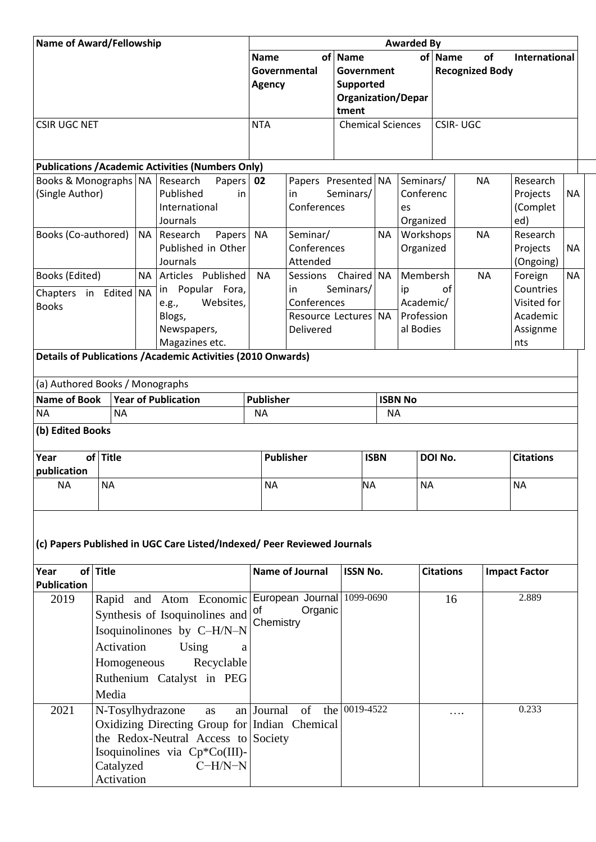| <b>Name of Award/Fellowship</b>                                         |                                                                                                                                                                                                                   |           |                                                                     | <b>Awarded By</b>                            |                                     |                                                                          |                  |                                           |         |                              |                                   |           |  |  |
|-------------------------------------------------------------------------|-------------------------------------------------------------------------------------------------------------------------------------------------------------------------------------------------------------------|-----------|---------------------------------------------------------------------|----------------------------------------------|-------------------------------------|--------------------------------------------------------------------------|------------------|-------------------------------------------|---------|------------------------------|-----------------------------------|-----------|--|--|
|                                                                         |                                                                                                                                                                                                                   |           |                                                                     | <b>Name</b><br>Governmental<br><b>Agency</b> |                                     | of Name<br>Government<br>Supported<br><b>Organization/Depar</b><br>tment |                  |                                           | of Name | of<br><b>Recognized Body</b> | <b>International</b>              |           |  |  |
| <b>CSIR UGC NET</b>                                                     |                                                                                                                                                                                                                   |           |                                                                     | <b>NTA</b>                                   |                                     | <b>Chemical Sciences</b>                                                 |                  |                                           |         | <b>CSIR-UGC</b>              |                                   |           |  |  |
|                                                                         |                                                                                                                                                                                                                   |           |                                                                     |                                              |                                     |                                                                          |                  |                                           |         |                              |                                   |           |  |  |
|                                                                         |                                                                                                                                                                                                                   |           |                                                                     |                                              |                                     |                                                                          |                  |                                           |         |                              |                                   |           |  |  |
|                                                                         |                                                                                                                                                                                                                   |           | <b>Publications / Academic Activities (Numbers Only)</b><br>Papers  | 02                                           | Papers Presented NA                 |                                                                          |                  |                                           |         | <b>NA</b>                    | Research                          |           |  |  |
| Books & Monographs   NA   Research<br>(Single Author)                   |                                                                                                                                                                                                                   |           | Published<br>in<br>International<br>Journals                        |                                              | in<br>Conferences                   | Seminars/                                                                |                  | Seminars/<br>Conferenc<br>es<br>Organized |         |                              | Projects<br>(Complet<br>ed)       | <b>NA</b> |  |  |
| Books (Co-authored)<br><b>NA</b>                                        |                                                                                                                                                                                                                   |           | Papers<br>Research<br>Published in Other<br>Journals                | <b>NA</b>                                    | Seminar/<br>Conferences<br>Attended |                                                                          | <b>NA</b>        | Workshops<br>Organized                    |         | <b>NA</b>                    | Research<br>Projects<br>(Ongoing) | <b>NA</b> |  |  |
| Books (Edited)<br>Chapters in Edited NA                                 |                                                                                                                                                                                                                   | <b>NA</b> | Articles Published<br>Popular Fora,<br>in                           | <b>NA</b>                                    | Sessions<br>in                      | Chaired<br>Seminars/                                                     | <b>NA</b>        | Membersh<br>of<br>ip                      |         | <b>NA</b>                    | Foreign<br>Countries              | <b>NA</b> |  |  |
| <b>Books</b>                                                            |                                                                                                                                                                                                                   |           | Websites,<br>e.g.,                                                  |                                              | Conferences                         |                                                                          |                  | Academic/                                 |         |                              | Visited for                       |           |  |  |
|                                                                         |                                                                                                                                                                                                                   |           | Blogs,<br>Newspapers,                                               |                                              | Resource Lectures NA<br>Delivered   |                                                                          |                  | Profession<br>al Bodies                   |         |                              | Academic<br>Assignme              |           |  |  |
|                                                                         |                                                                                                                                                                                                                   |           | Magazines etc.                                                      |                                              |                                     |                                                                          |                  |                                           |         |                              | nts                               |           |  |  |
|                                                                         |                                                                                                                                                                                                                   |           | <b>Details of Publications / Academic Activities (2010 Onwards)</b> |                                              |                                     |                                                                          |                  |                                           |         |                              |                                   |           |  |  |
|                                                                         |                                                                                                                                                                                                                   |           |                                                                     |                                              |                                     |                                                                          |                  |                                           |         |                              |                                   |           |  |  |
| (a) Authored Books / Monographs<br><b>Name of Book</b>                  |                                                                                                                                                                                                                   |           | <b>Year of Publication</b>                                          | <b>Publisher</b>                             |                                     |                                                                          | <b>ISBN No</b>   |                                           |         |                              |                                   |           |  |  |
| <b>NA</b>                                                               | <b>NA</b>                                                                                                                                                                                                         |           |                                                                     | <b>NA</b>                                    |                                     |                                                                          | <b>NA</b>        |                                           |         |                              |                                   |           |  |  |
| (b) Edited Books                                                        |                                                                                                                                                                                                                   |           |                                                                     |                                              |                                     |                                                                          |                  |                                           |         |                              |                                   |           |  |  |
|                                                                         |                                                                                                                                                                                                                   |           |                                                                     |                                              |                                     |                                                                          |                  |                                           |         |                              |                                   |           |  |  |
| of Title<br>Year<br>publication                                         |                                                                                                                                                                                                                   |           |                                                                     | <b>Publisher</b>                             | <b>ISBN</b>                         |                                                                          |                  | DOI No.                                   |         | <b>Citations</b>             |                                   |           |  |  |
| NA.                                                                     | NА                                                                                                                                                                                                                |           |                                                                     | NА                                           |                                     |                                                                          | <b>NA</b><br>NA. |                                           |         |                              | <b>NA</b>                         |           |  |  |
| (c) Papers Published in UGC Care Listed/Indexed/ Peer Reviewed Journals |                                                                                                                                                                                                                   |           |                                                                     |                                              |                                     |                                                                          |                  |                                           |         |                              |                                   |           |  |  |
| Year<br><b>Publication</b>                                              | of Title                                                                                                                                                                                                          |           |                                                                     |                                              | <b>Name of Journal</b>              | <b>ISSN No.</b>                                                          |                  | <b>Citations</b>                          |         |                              | <b>Impact Factor</b>              |           |  |  |
| 2019                                                                    | Rapid and Atom Economic European Journal 1099-0690<br>Synthesis of Isoquinolines and<br>Isoquinolinones by C-H/N-N<br>Activation<br>Using<br>a<br>Homogeneous<br>Recyclable<br>Ruthenium Catalyst in PEG<br>Media |           | Organic<br>of<br>Chemistry                                          |                                              |                                     |                                                                          |                  |                                           | 16      | 2.889                        |                                   |           |  |  |
| 2021                                                                    | N-Tosylhydrazone<br>as<br>Oxidizing Directing Group for Indian Chemical<br>the Redox-Neutral Access to Society<br>Isoquinolines via Cp*Co(III)-<br>Catalyzed<br>$C-H/N-N$<br>Activation                           |           |                                                                     | an Journal                                   | of<br>the                           | 0019-4522                                                                |                  |                                           | .       |                              | 0.233                             |           |  |  |